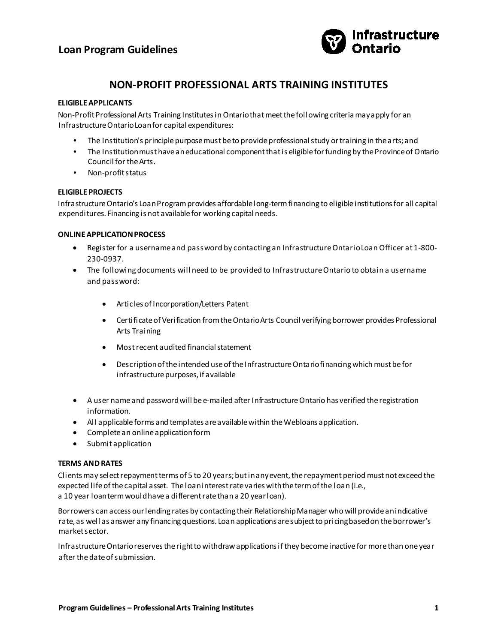

# **NON-PROFIT PROFESSIONAL ARTS TRAINING INSTITUTES**

## **ELIGIBLE APPLICANTS**

Non-Profit Professional Arts Training Institutes in Ontario that meet the following criteria may apply for an Infrastructure Ontario Loan for capital expenditures:

- The Institution's principle purpose must be to provide professional study or training in the arts; and
- The Institution must have an educational component that is eligible for funding by the Province of Ontario Council for the Arts.
- Non-profit status

## **ELIGIBLE PROJECTS**

Infrastructure Ontario's Loan Program provides affordable long-term financing to eligible institutions for all capital expenditures. Financing is not available for working capital needs.

### **ONLINE APPLICATION PROCESS**

- Register for a username and password by contacting an Infrastructure Ontario Loan Officer at 1-800- 230-0937.
- The following documents will need to be provided to Infrastructure Ontario to obtain a username and password:
	- Articles of Incorporation/Letters Patent
	- Certificate of Verification from the Ontario Arts Council verifying borrower provides Professional Arts Training
	- Most recent audited financial statement
	- Description of the intended use of the Infrastructure Ontario financing which must be for infrastructure purposes, if available
- A user name and password will be e-mailed after Infrastructure Ontario has verified the registration information.
- All applicable forms and templates are available within the Webloans application.
- Complete an online application form
- Submit application

## **TERMS AND RATES**

Clients may select repayment terms of 5 to 20 years; but in any event, the repayment period must not exceed the expected life of the capital asset. The loan interest rate varies with the term of the loan (i.e., a 10 year loan term would have a different rate than a 20 year loan).

Borrowers can access our lending rates by contacting their Relationship Manager who will provide an indicative rate, as well as answer any financing questions. Loan applications are subject to pricing based on the borrower's market sector.

Infrastructure Ontario reserves the right to withdraw applications if they become inactive for more than one year after the date of submission.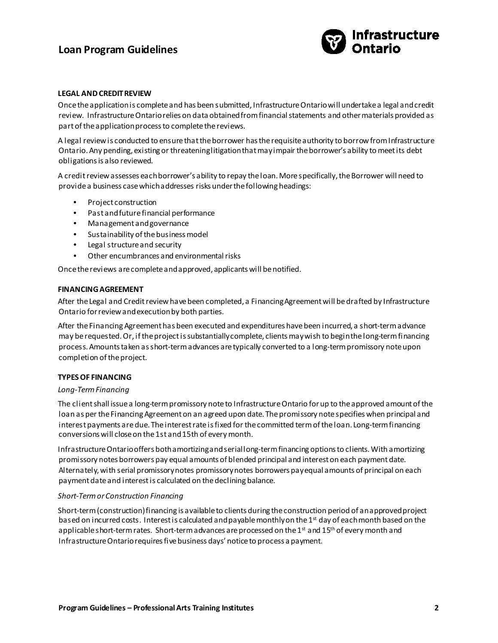# **Loan Program Guidelines**



## **LEGAL AND CREDIT REVIEW**

Once the application is complete and has been submitted, Infrastructure Ontario will undertake a legal and credit review. Infrastructure Ontario relies on data obtained from financial statements and other materials provided as part of the application process to complete the reviews.

A legal review is conducted to ensure that the borrower has the requisite authority to borrow from Infrastructure Ontario. Any pending, existing or threatening litigation that may impair the borrower's ability to meet its debt obligations is also reviewed.

A credit review assesses each borrower's ability to repay the loan. More specifically, the Borrower will need to provide a business case which addresses risks under the following headings:

- Project construction
- Past and future financial performance
- Management and governance
- Sustainability of the business model
- Legal structure and security
- Other encumbrances and environmental risks

Once the reviews are complete and approved, applicants will be notified.

#### **FINANCING AGREEMENT**

After the Legal and Credit review have been completed, a Financing Agreement will be drafted by Infrastructure Ontario for review and execution by both parties.

After the Financing Agreement has been executed and expenditures have been incurred, a short-term advance may be requested. Or, if the project is substantially complete, clients may wish to begin the long-term financing process. Amounts taken as short-term advances are typically converted to a long-term promissory note upon completion of the project.

#### **TYPES OF FINANCING**

#### *Long-Term Financing*

The client shall issue a long-term promissory note to Infrastructure Ontario for up to the approved amount of the loan as per the Financing Agreement on an agreed upon date. The promissory note specifies when principal and interest payments are due. The interest rate is fixed for the committed term of the loan. Long-term financing conversions will close on the 1st and 15th of every month.

Infrastructure Ontario offers both amortizing and serial long-term financing options to clients. With amortizing promissory notes borrowers pay equal amounts of blended principal and interest on each payment date. Alternately, with serial promissory notes promissory notes borrowers pay equal amounts of principal on each payment date and interest is calculated on the declining balance.

### *Short-Term or Construction Financing*

Short-term (construction) financing is available to clients during the construction period of an approved project based on incurred costs. Interest is calculated and payable monthly on the 1<sup>st</sup> day of each month based on the applicable short-term rates. Short-term advances are processed on the 1<sup>st</sup> and 15<sup>th</sup> of every month and Infrastructure Ontario requires five business days' notice to process a payment.